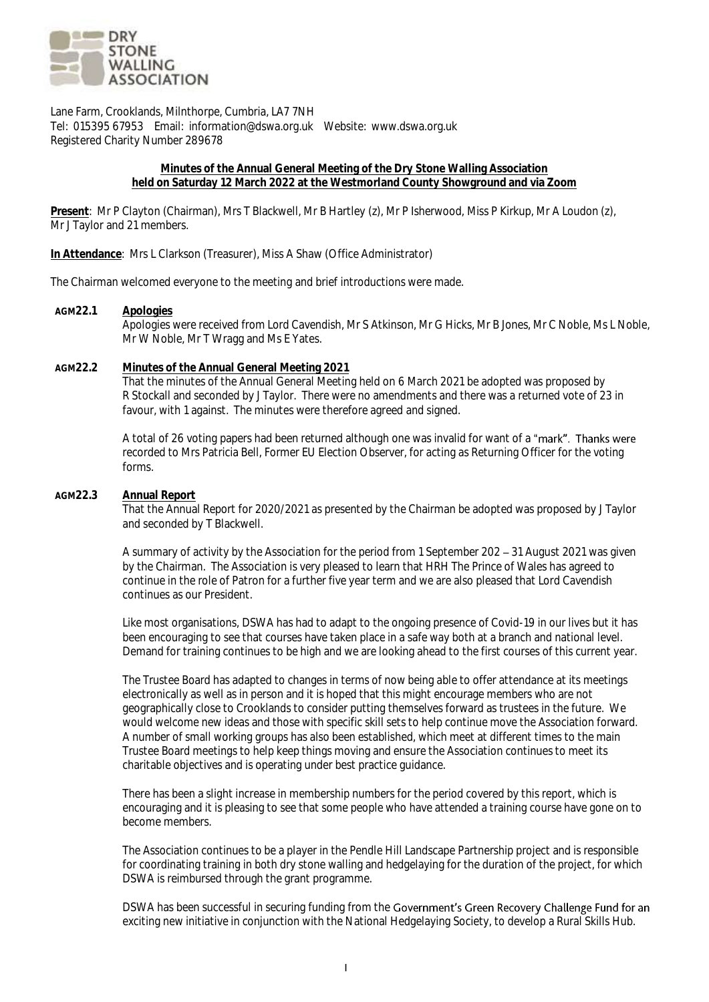

Lane Farm, Crooklands, Milnthorpe, Cumbria, LA7 7NH Tel: 015395 67953 Email: information@dswa.org.uk Website: www.dswa.org.uk Registered Charity Number 289678

### **Minutes of the Annual General Meeting of the Dry Stone Walling Association held on Saturday 12 March 2022 at the Westmorland County Showground and via Zoom**

**Present**: Mr P Clayton (Chairman), Mrs T Blackwell, Mr B Hartley (z), Mr P Isherwood, Miss P Kirkup, Mr A Loudon (z), Mr J Taylor and 21 members.

**In Attendance**: Mrs L Clarkson (Treasurer), Miss A Shaw (Office Administrator)

The Chairman welcomed everyone to the meeting and brief introductions were made.

## **AGM22.1 Apologies**

Apologies were received from Lord Cavendish, Mr S Atkinson, Mr G Hicks, Mr B Jones, Mr C Noble, Ms L Noble, Mr W Noble, Mr T Wragg and Ms E Yates.

# **AGM22.2 Minutes of the Annual General Meeting 2021**

That the minutes of the Annual General Meeting held on 6 March 2021 be adopted was proposed by R Stockall and seconded by J Taylor. There were no amendments and there was a returned vote of 23 in favour, with 1 against. The minutes were therefore agreed and signed.

A total of 26 voting papers had been returned although one was invalid for want of a "mark". Thanks were recorded to Mrs Patricia Bell, Former EU Election Observer, for acting as Returning Officer for the voting forms.

## **AGM22.3 Annual Report**

That the Annual Report for 2020/2021 as presented by the Chairman be adopted was proposed by J Taylor and seconded by T Blackwell.

A summary of activity by the Association for the period from 1 September 202 – 31 August 2021 was given by the Chairman. The Association is very pleased to learn that HRH The Prince of Wales has agreed to continue in the role of Patron for a further five year term and we are also pleased that Lord Cavendish continues as our President.

Like most organisations, DSWA has had to adapt to the ongoing presence of Covid-19 in our lives but it has been encouraging to see that courses have taken place in a safe way both at a branch and national level. Demand for training continues to be high and we are looking ahead to the first courses of this current year.

The Trustee Board has adapted to changes in terms of now being able to offer attendance at its meetings electronically as well as in person and it is hoped that this might encourage members who are not geographically close to Crooklands to consider putting themselves forward as trustees in the future. We would welcome new ideas and those with specific skill sets to help continue move the Association forward. A number of small working groups has also been established, which meet at different times to the main Trustee Board meetings to help keep things moving and ensure the Association continues to meet its charitable objectives and is operating under best practice guidance.

There has been a slight increase in membership numbers for the period covered by this report, which is encouraging and it is pleasing to see that some people who have attended a training course have gone on to become members.

The Association continues to be a player in the Pendle Hill Landscape Partnership project and is responsible for coordinating training in both dry stone walling and hedgelaying for the duration of the project, for which DSWA is reimbursed through the grant programme.

DSWA has been successful in securing funding from the Government's Green Recovery Challenge Fund for an exciting new initiative in conjunction with the National Hedgelaying Society, to develop a Rural Skills Hub.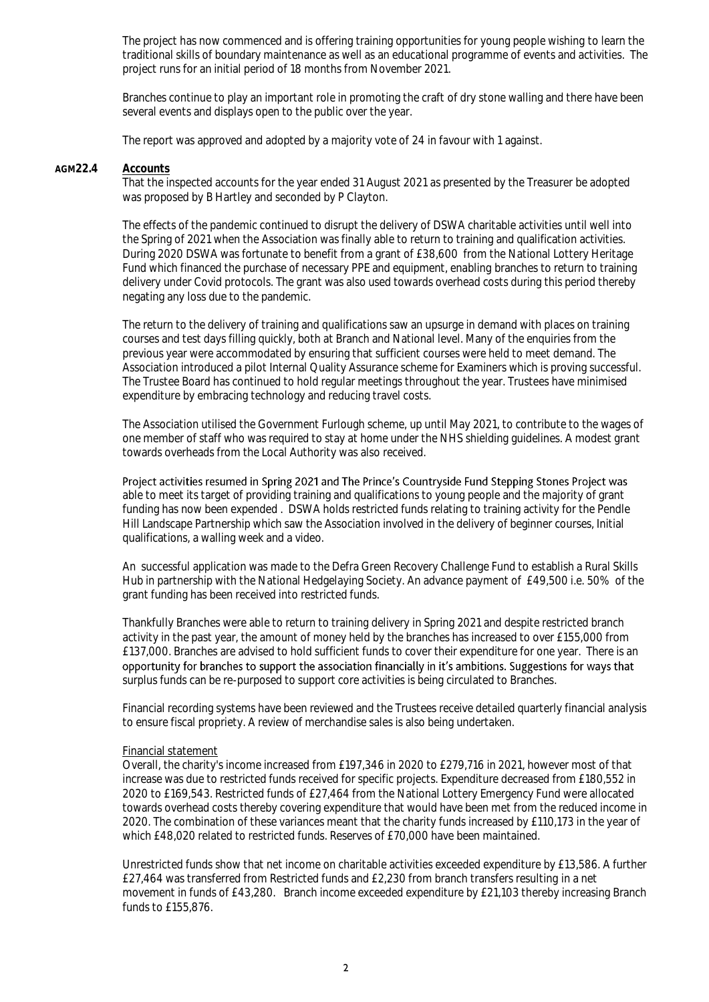The project has now commenced and is offering training opportunities for young people wishing to learn the traditional skills of boundary maintenance as well as an educational programme of events and activities. The project runs for an initial period of 18 months from November 2021.

Branches continue to play an important role in promoting the craft of dry stone walling and there have been several events and displays open to the public over the year.

The report was approved and adopted by a majority vote of 24 in favour with 1 against.

#### **AGM22.4 Accounts**

That the inspected accounts for the year ended 31 August 2021 as presented by the Treasurer be adopted was proposed by B Hartley and seconded by P Clayton.

The effects of the pandemic continued to disrupt the delivery of DSWA charitable activities until well into the Spring of 2021 when the Association was finally able to return to training and qualification activities. During 2020 DSWA was fortunate to benefit from a grant of £38,600 from the National Lottery Heritage Fund which financed the purchase of necessary PPE and equipment, enabling branches to return to training delivery under Covid protocols. The grant was also used towards overhead costs during this period thereby negating any loss due to the pandemic.

The return to the delivery of training and qualifications saw an upsurge in demand with places on training courses and test days filling quickly, both at Branch and National level. Many of the enquiries from the previous year were accommodated by ensuring that sufficient courses were held to meet demand. The Association introduced a pilot Internal Quality Assurance scheme for Examiners which is proving successful. The Trustee Board has continued to hold regular meetings throughout the year. Trustees have minimised expenditure by embracing technology and reducing travel costs.

The Association utilised the Government Furlough scheme, up until May 2021, to contribute to the wages of one member of staff who was required to stay at home under the NHS shielding guidelines. A modest grant towards overheads from the Local Authority was also received.

Project activities resumed in Spring 2021 and The Prince's Countryside Fund Stepping Stones Project was able to meet its target of providing training and qualifications to young people and the majority of grant funding has now been expended . DSWA holds restricted funds relating to training activity for the Pendle Hill Landscape Partnership which saw the Association involved in the delivery of beginner courses, Initial qualifications, a walling week and a video.

An successful application was made to the Defra Green Recovery Challenge Fund to establish a Rural Skills Hub in partnership with the National Hedgelaying Society. An advance payment of £49,500 i.e. 50% of the grant funding has been received into restricted funds.

Thankfully Branches were able to return to training delivery in Spring 2021 and despite restricted branch activity in the past year, the amount of money held by the branches has increased to over £155,000 from £137,000. Branches are advised to hold sufficient funds to cover their expenditure for one year. There is an opportunity for branches to support the association financially in it's ambitions. Suggestions for ways that surplus funds can be re-purposed to support core activities is being circulated to Branches.

Financial recording systems have been reviewed and the Trustees receive detailed quarterly financial analysis to ensure fiscal propriety. A review of merchandise sales is also being undertaken.

#### Financial statement

Overall, the charity's income increased from £197,346 in 2020 to £279,716 in 2021, however most of that increase was due to restricted funds received for specific projects. Expenditure decreased from £180,552 in 2020 to £169,543. Restricted funds of £27,464 from the National Lottery Emergency Fund were allocated towards overhead costs thereby covering expenditure that would have been met from the reduced income in 2020. The combination of these variances meant that the charity funds increased by £110,173 in the year of which £48,020 related to restricted funds. Reserves of £70,000 have been maintained.

Unrestricted funds show that net income on charitable activities exceeded expenditure by £13,586. A further £27,464 was transferred from Restricted funds and £2,230 from branch transfers resulting in a net movement in funds of £43,280. Branch income exceeded expenditure by £21,103 thereby increasing Branch funds to £155,876.